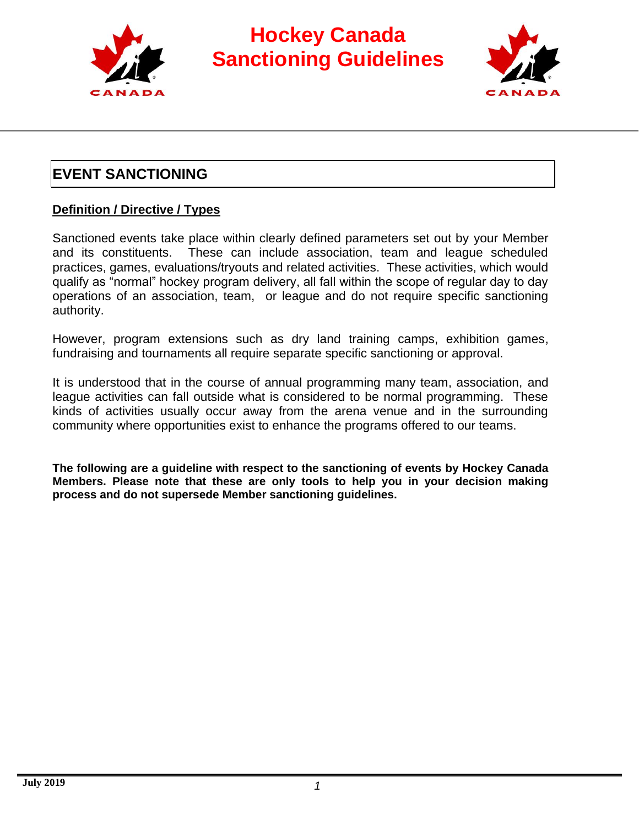



#### **EVENT SANCTIONING**

#### **Definition / Directive / Types**

Sanctioned events take place within clearly defined parameters set out by your Member and its constituents. These can include association, team and league scheduled practices, games, evaluations/tryouts and related activities. These activities, which would qualify as "normal" hockey program delivery, all fall within the scope of regular day to day operations of an association, team, or league and do not require specific sanctioning authority.

However, program extensions such as dry land training camps, exhibition games, fundraising and tournaments all require separate specific sanctioning or approval.

It is understood that in the course of annual programming many team, association, and league activities can fall outside what is considered to be normal programming. These kinds of activities usually occur away from the arena venue and in the surrounding community where opportunities exist to enhance the programs offered to our teams.

**The following are a guideline with respect to the sanctioning of events by Hockey Canada Members. Please note that these are only tools to help you in your decision making process and do not supersede Member sanctioning guidelines.**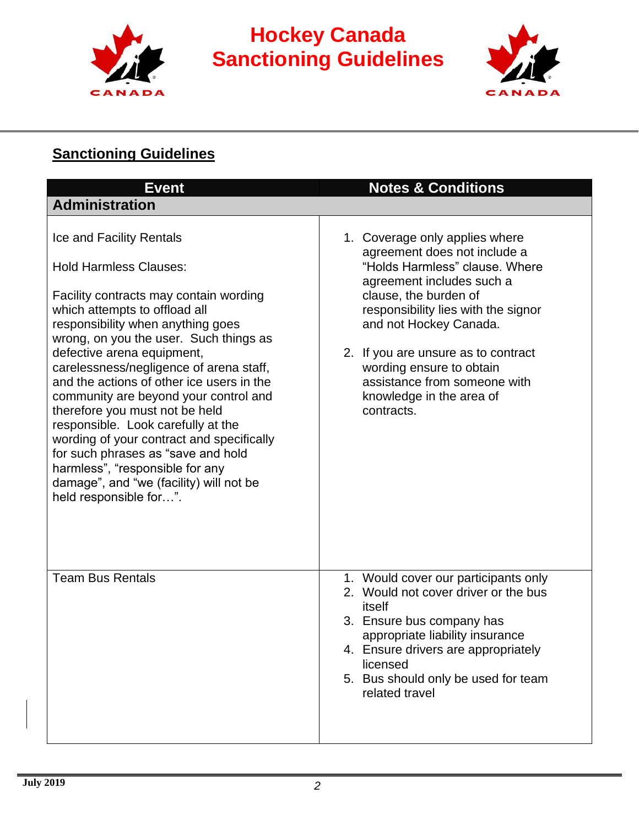



#### **Sanctioning Guidelines**

| <b>Event</b>                                                                                                                                                                                                                                                                                                                                                                                                                                                                                                                                                                                                                                          | <b>Notes &amp; Conditions</b>                                                                                                                                                                                                                                                                                                                                        |
|-------------------------------------------------------------------------------------------------------------------------------------------------------------------------------------------------------------------------------------------------------------------------------------------------------------------------------------------------------------------------------------------------------------------------------------------------------------------------------------------------------------------------------------------------------------------------------------------------------------------------------------------------------|----------------------------------------------------------------------------------------------------------------------------------------------------------------------------------------------------------------------------------------------------------------------------------------------------------------------------------------------------------------------|
| <b>Administration</b>                                                                                                                                                                                                                                                                                                                                                                                                                                                                                                                                                                                                                                 |                                                                                                                                                                                                                                                                                                                                                                      |
| Ice and Facility Rentals<br><b>Hold Harmless Clauses:</b><br>Facility contracts may contain wording<br>which attempts to offload all<br>responsibility when anything goes<br>wrong, on you the user. Such things as<br>defective arena equipment,<br>carelessness/negligence of arena staff,<br>and the actions of other ice users in the<br>community are beyond your control and<br>therefore you must not be held<br>responsible. Look carefully at the<br>wording of your contract and specifically<br>for such phrases as "save and hold<br>harmless", "responsible for any<br>damage", and "we (facility) will not be<br>held responsible for". | 1. Coverage only applies where<br>agreement does not include a<br>"Holds Harmless" clause. Where<br>agreement includes such a<br>clause, the burden of<br>responsibility lies with the signor<br>and not Hockey Canada.<br>2. If you are unsure as to contract<br>wording ensure to obtain<br>assistance from someone with<br>knowledge in the area of<br>contracts. |
| <b>Team Bus Rentals</b>                                                                                                                                                                                                                                                                                                                                                                                                                                                                                                                                                                                                                               | 1. Would cover our participants only<br>2. Would not cover driver or the bus<br>itself<br>3. Ensure bus company has<br>appropriate liability insurance<br>4. Ensure drivers are appropriately<br>licensed<br>5. Bus should only be used for team<br>related travel                                                                                                   |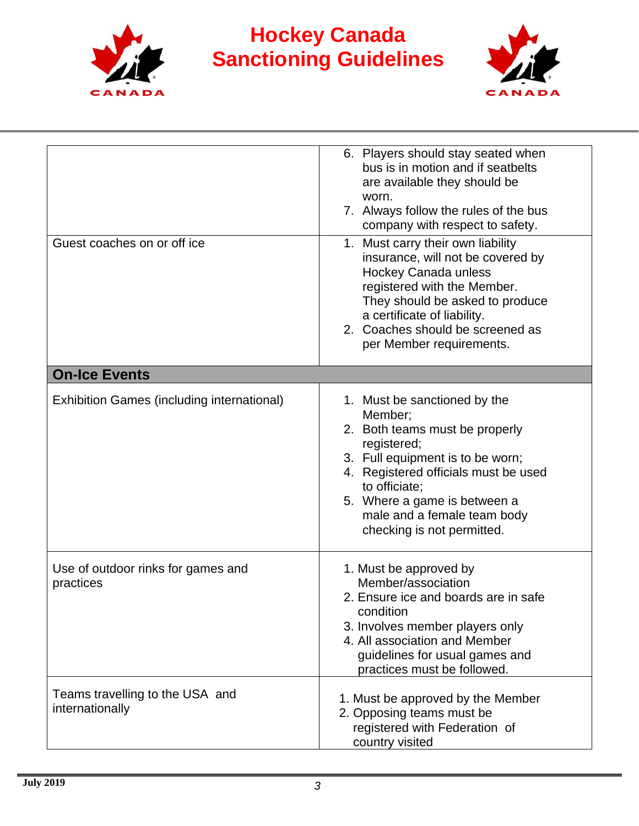



| Guest coaches on or off ice                        | 6. Players should stay seated when<br>bus is in motion and if seatbelts<br>are available they should be<br>worn.<br>7. Always follow the rules of the bus<br>company with respect to safety.<br>1. Must carry their own liability<br>insurance, will not be covered by<br><b>Hockey Canada unless</b><br>registered with the Member.<br>They should be asked to produce<br>a certificate of liability.<br>2. Coaches should be screened as<br>per Member requirements. |
|----------------------------------------------------|------------------------------------------------------------------------------------------------------------------------------------------------------------------------------------------------------------------------------------------------------------------------------------------------------------------------------------------------------------------------------------------------------------------------------------------------------------------------|
| <b>On-Ice Events</b>                               |                                                                                                                                                                                                                                                                                                                                                                                                                                                                        |
| <b>Exhibition Games (including international)</b>  | 1. Must be sanctioned by the<br>Member;<br>2. Both teams must be properly<br>registered;<br>3. Full equipment is to be worn;<br>4. Registered officials must be used<br>to officiate;<br>5. Where a game is between a<br>male and a female team body<br>checking is not permitted.                                                                                                                                                                                     |
| Use of outdoor rinks for games and<br>practices    | 1. Must be approved by<br>Member/association<br>2. Ensure ice and boards are in safe<br>condition<br>3. Involves member players only<br>4. All association and Member<br>guidelines for usual games and<br>practices must be followed.                                                                                                                                                                                                                                 |
| Teams travelling to the USA and<br>internationally | 1. Must be approved by the Member<br>2. Opposing teams must be<br>registered with Federation of<br>country visited                                                                                                                                                                                                                                                                                                                                                     |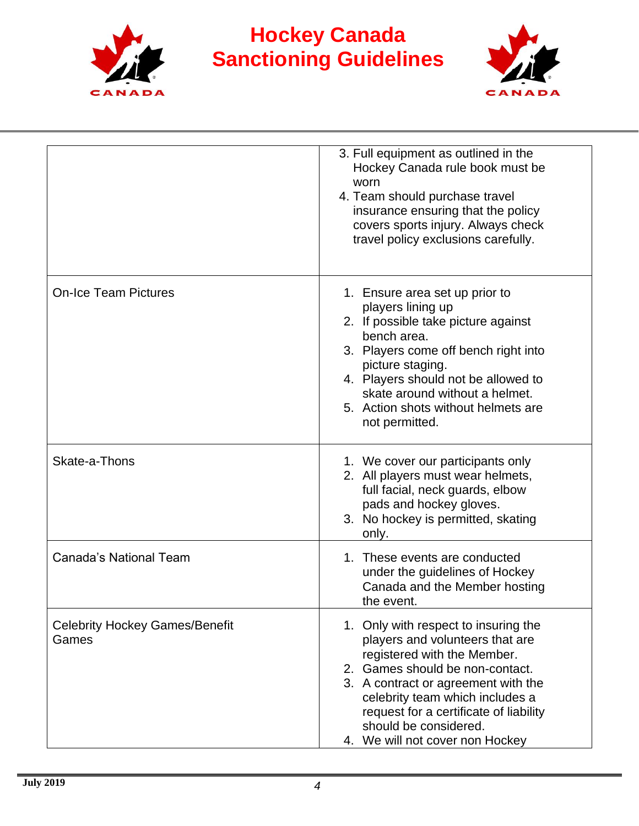



|                                                | 3. Full equipment as outlined in the<br>Hockey Canada rule book must be<br>worn<br>4. Team should purchase travel<br>insurance ensuring that the policy<br>covers sports injury. Always check<br>travel policy exclusions carefully.                                                                                      |
|------------------------------------------------|---------------------------------------------------------------------------------------------------------------------------------------------------------------------------------------------------------------------------------------------------------------------------------------------------------------------------|
| <b>On-Ice Team Pictures</b>                    | 1. Ensure area set up prior to<br>players lining up<br>2. If possible take picture against<br>bench area.<br>3. Players come off bench right into<br>picture staging.<br>4. Players should not be allowed to<br>skate around without a helmet.<br>5. Action shots without helmets are<br>not permitted.                   |
| Skate-a-Thons                                  | 1. We cover our participants only<br>2. All players must wear helmets,<br>full facial, neck guards, elbow<br>pads and hockey gloves.<br>3. No hockey is permitted, skating<br>only.                                                                                                                                       |
| <b>Canada's National Team</b>                  | 1. These events are conducted<br>under the guidelines of Hockey<br>Canada and the Member hosting<br>the event.                                                                                                                                                                                                            |
| <b>Celebrity Hockey Games/Benefit</b><br>Games | 1. Only with respect to insuring the<br>players and volunteers that are<br>registered with the Member.<br>2. Games should be non-contact.<br>3. A contract or agreement with the<br>celebrity team which includes a<br>request for a certificate of liability<br>should be considered.<br>4. We will not cover non Hockey |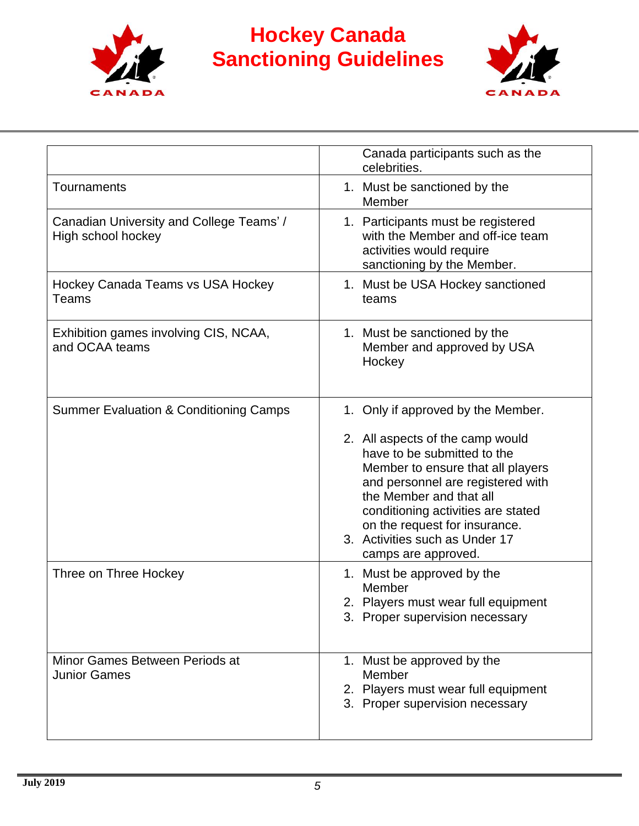



|                                                                | Canada participants such as the<br>celebrities.                                                                                                                                                                                                                                                                                            |
|----------------------------------------------------------------|--------------------------------------------------------------------------------------------------------------------------------------------------------------------------------------------------------------------------------------------------------------------------------------------------------------------------------------------|
| Tournaments                                                    | 1. Must be sanctioned by the<br>Member                                                                                                                                                                                                                                                                                                     |
| Canadian University and College Teams' /<br>High school hockey | 1. Participants must be registered<br>with the Member and off-ice team<br>activities would require<br>sanctioning by the Member.                                                                                                                                                                                                           |
| Hockey Canada Teams vs USA Hockey<br>Teams                     | 1. Must be USA Hockey sanctioned<br>teams                                                                                                                                                                                                                                                                                                  |
| Exhibition games involving CIS, NCAA,<br>and OCAA teams        | 1. Must be sanctioned by the<br>Member and approved by USA<br>Hockey                                                                                                                                                                                                                                                                       |
| <b>Summer Evaluation &amp; Conditioning Camps</b>              | 1. Only if approved by the Member.<br>2. All aspects of the camp would<br>have to be submitted to the<br>Member to ensure that all players<br>and personnel are registered with<br>the Member and that all<br>conditioning activities are stated<br>on the request for insurance.<br>3. Activities such as Under 17<br>camps are approved. |
| Three on Three Hockey                                          | 1. Must be approved by the<br>Member<br>2. Players must wear full equipment<br>3. Proper supervision necessary                                                                                                                                                                                                                             |
| Minor Games Between Periods at<br><b>Junior Games</b>          | 1. Must be approved by the<br>Member<br>2. Players must wear full equipment<br>3. Proper supervision necessary                                                                                                                                                                                                                             |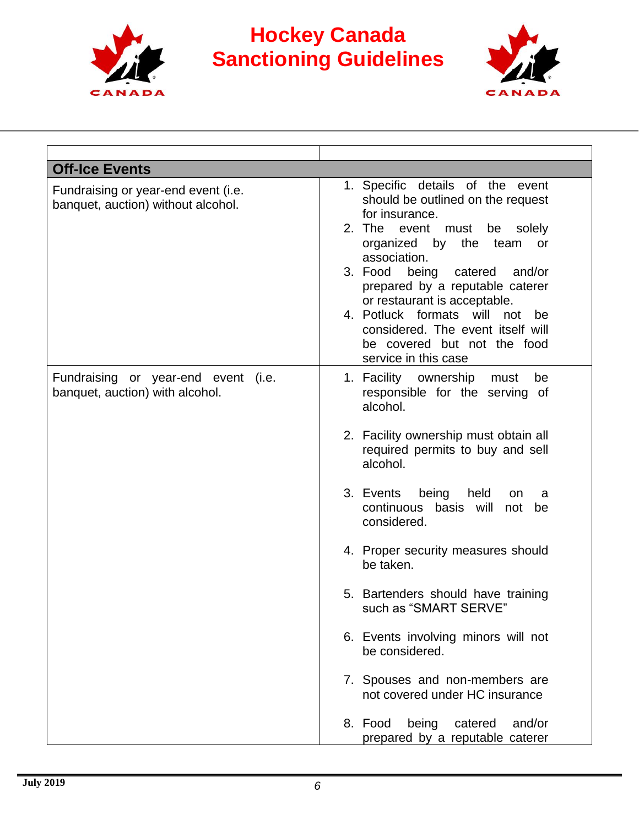



| 1. Specific details of the event<br>should be outlined on the request<br>for insurance.<br>2. The event must be<br>solely<br>organized by the team<br>or                                                                                                                                                                                                                                                                                                                                                                                                |
|---------------------------------------------------------------------------------------------------------------------------------------------------------------------------------------------------------------------------------------------------------------------------------------------------------------------------------------------------------------------------------------------------------------------------------------------------------------------------------------------------------------------------------------------------------|
|                                                                                                                                                                                                                                                                                                                                                                                                                                                                                                                                                         |
| association.<br>3. Food<br>being catered<br>and/or<br>prepared by a reputable caterer<br>or restaurant is acceptable.<br>4. Potluck formats will<br>not<br>be<br>considered. The event itself will<br>be covered but not the food<br>service in this case                                                                                                                                                                                                                                                                                               |
| 1. Facility ownership<br>must<br>be<br>responsible for the serving of<br>alcohol.<br>2. Facility ownership must obtain all<br>required permits to buy and sell<br>alcohol.<br>3. Events<br>being<br>held<br>on<br>a<br>continuous basis will<br>not<br>be<br>considered.<br>4. Proper security measures should<br>be taken.<br>5. Bartenders should have training<br>such as "SMART SERVE"<br>6. Events involving minors will not<br>be considered.<br>7. Spouses and non-members are<br>not covered under HC insurance<br>8. Food being catered and/or |
|                                                                                                                                                                                                                                                                                                                                                                                                                                                                                                                                                         |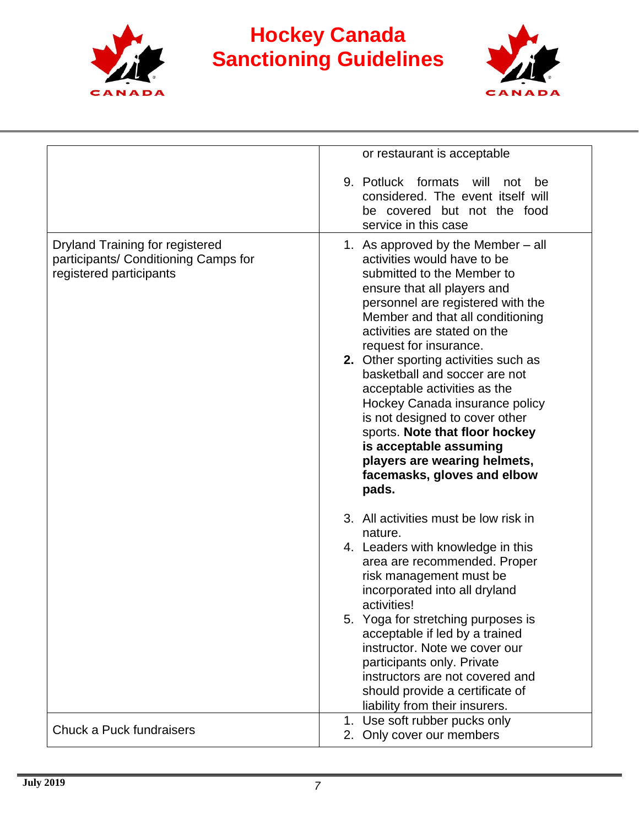



|                                                                                                    | or restaurant is acceptable                                                                                                                                                                                                                                                                                                                                                                                                                                                                                                                                                          |
|----------------------------------------------------------------------------------------------------|--------------------------------------------------------------------------------------------------------------------------------------------------------------------------------------------------------------------------------------------------------------------------------------------------------------------------------------------------------------------------------------------------------------------------------------------------------------------------------------------------------------------------------------------------------------------------------------|
|                                                                                                    | 9. Potluck formats<br>will<br>be<br>not<br>considered. The event itself will<br>be covered but not the food<br>service in this case                                                                                                                                                                                                                                                                                                                                                                                                                                                  |
| Dryland Training for registered<br>participants/ Conditioning Camps for<br>registered participants | 1. As approved by the Member $-$ all<br>activities would have to be<br>submitted to the Member to<br>ensure that all players and<br>personnel are registered with the<br>Member and that all conditioning<br>activities are stated on the<br>request for insurance.<br>2. Other sporting activities such as<br>basketball and soccer are not<br>acceptable activities as the<br>Hockey Canada insurance policy<br>is not designed to cover other<br>sports. Note that floor hockey<br>is acceptable assuming<br>players are wearing helmets,<br>facemasks, gloves and elbow<br>pads. |
|                                                                                                    | 3. All activities must be low risk in<br>nature.<br>4. Leaders with knowledge in this<br>area are recommended. Proper<br>risk management must be<br>incorporated into all dryland<br>activities!                                                                                                                                                                                                                                                                                                                                                                                     |
|                                                                                                    | 5. Yoga for stretching purposes is<br>acceptable if led by a trained<br>instructor. Note we cover our<br>participants only. Private<br>instructors are not covered and<br>should provide a certificate of<br>liability from their insurers.                                                                                                                                                                                                                                                                                                                                          |
| Chuck a Puck fundraisers                                                                           | 1. Use soft rubber pucks only<br>2. Only cover our members                                                                                                                                                                                                                                                                                                                                                                                                                                                                                                                           |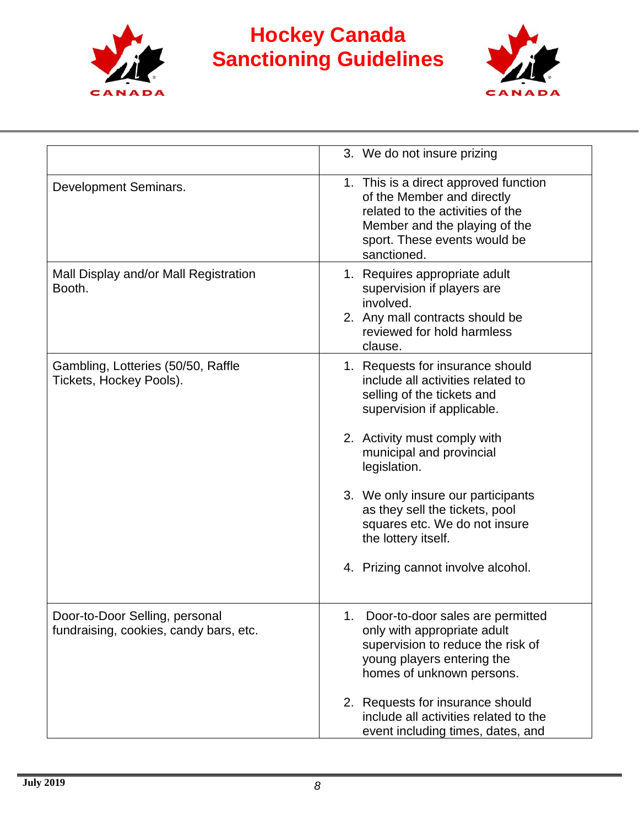



|                                                                          | 3. We do not insure prizing                                                                                                                                                             |
|--------------------------------------------------------------------------|-----------------------------------------------------------------------------------------------------------------------------------------------------------------------------------------|
| Development Seminars.                                                    | 1. This is a direct approved function<br>of the Member and directly<br>related to the activities of the<br>Member and the playing of the<br>sport. These events would be<br>sanctioned. |
| Mall Display and/or Mall Registration<br>Booth.                          | 1. Requires appropriate adult<br>supervision if players are<br>involved.<br>2. Any mall contracts should be<br>reviewed for hold harmless<br>clause.                                    |
| Gambling, Lotteries (50/50, Raffle<br>Tickets, Hockey Pools).            | 1. Requests for insurance should<br>include all activities related to<br>selling of the tickets and<br>supervision if applicable.                                                       |
|                                                                          | 2. Activity must comply with<br>municipal and provincial<br>legislation.                                                                                                                |
|                                                                          | 3. We only insure our participants<br>as they sell the tickets, pool<br>squares etc. We do not insure<br>the lottery itself.                                                            |
|                                                                          | 4. Prizing cannot involve alcohol.                                                                                                                                                      |
| Door-to-Door Selling, personal<br>fundraising, cookies, candy bars, etc. | 1. Door-to-door sales are permitted<br>only with appropriate adult<br>supervision to reduce the risk of<br>young players entering the<br>homes of unknown persons.                      |
|                                                                          | 2. Requests for insurance should<br>include all activities related to the<br>event including times, dates, and                                                                          |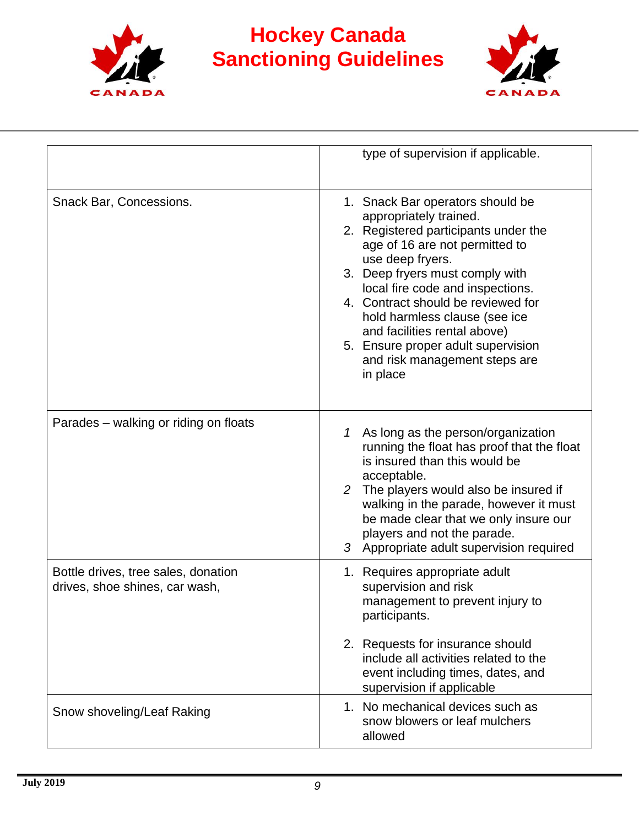



|                                                                       | type of supervision if applicable.                                                                                                                                                                                                                                                                                                                                                                                        |
|-----------------------------------------------------------------------|---------------------------------------------------------------------------------------------------------------------------------------------------------------------------------------------------------------------------------------------------------------------------------------------------------------------------------------------------------------------------------------------------------------------------|
| Snack Bar, Concessions.                                               | 1. Snack Bar operators should be<br>appropriately trained.<br>2. Registered participants under the<br>age of 16 are not permitted to<br>use deep fryers.<br>3. Deep fryers must comply with<br>local fire code and inspections.<br>4. Contract should be reviewed for<br>hold harmless clause (see ice<br>and facilities rental above)<br>5. Ensure proper adult supervision<br>and risk management steps are<br>in place |
| Parades – walking or riding on floats                                 | As long as the person/organization<br>1<br>running the float has proof that the float<br>is insured than this would be<br>acceptable.<br>2 The players would also be insured if<br>walking in the parade, however it must<br>be made clear that we only insure our<br>players and not the parade.<br>3 Appropriate adult supervision required                                                                             |
| Bottle drives, tree sales, donation<br>drives, shoe shines, car wash, | 1. Requires appropriate adult<br>supervision and risk<br>management to prevent injury to<br>participants.                                                                                                                                                                                                                                                                                                                 |
|                                                                       | 2. Requests for insurance should<br>include all activities related to the<br>event including times, dates, and<br>supervision if applicable                                                                                                                                                                                                                                                                               |
| Snow shoveling/Leaf Raking                                            | 1. No mechanical devices such as<br>snow blowers or leaf mulchers<br>allowed                                                                                                                                                                                                                                                                                                                                              |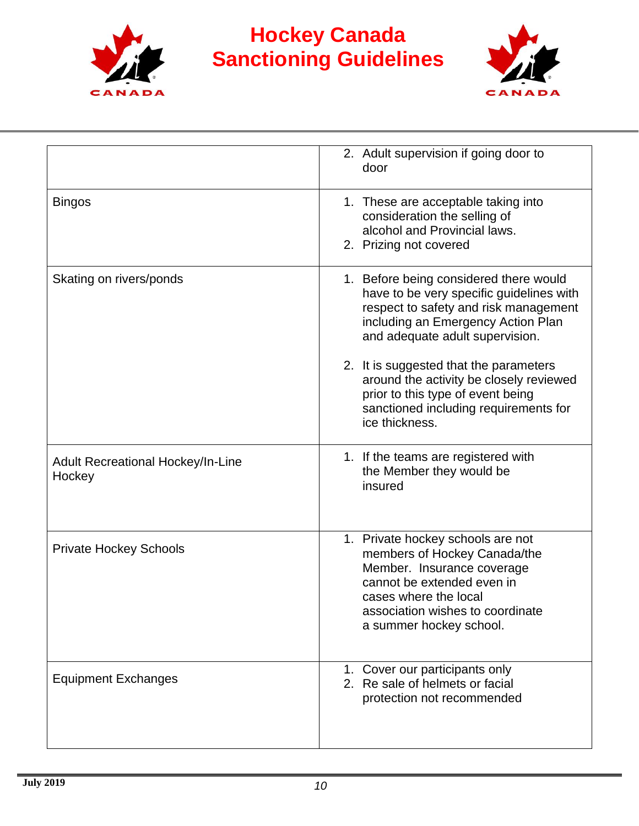



|                                                    | 2. Adult supervision if going door to<br>door                                                                                                                                                                         |
|----------------------------------------------------|-----------------------------------------------------------------------------------------------------------------------------------------------------------------------------------------------------------------------|
| <b>Bingos</b>                                      | 1. These are acceptable taking into<br>consideration the selling of<br>alcohol and Provincial laws.<br>2. Prizing not covered                                                                                         |
| Skating on rivers/ponds                            | 1. Before being considered there would<br>have to be very specific guidelines with<br>respect to safety and risk management<br>including an Emergency Action Plan<br>and adequate adult supervision.                  |
|                                                    | 2. It is suggested that the parameters<br>around the activity be closely reviewed<br>prior to this type of event being<br>sanctioned including requirements for<br>ice thickness.                                     |
| <b>Adult Recreational Hockey/In-Line</b><br>Hockey | 1. If the teams are registered with<br>the Member they would be<br>insured                                                                                                                                            |
| <b>Private Hockey Schools</b>                      | 1. Private hockey schools are not<br>members of Hockey Canada/the<br>Member. Insurance coverage<br>cannot be extended even in<br>cases where the local<br>association wishes to coordinate<br>a summer hockey school. |
| <b>Equipment Exchanges</b>                         | 1. Cover our participants only<br>2. Re sale of helmets or facial<br>protection not recommended                                                                                                                       |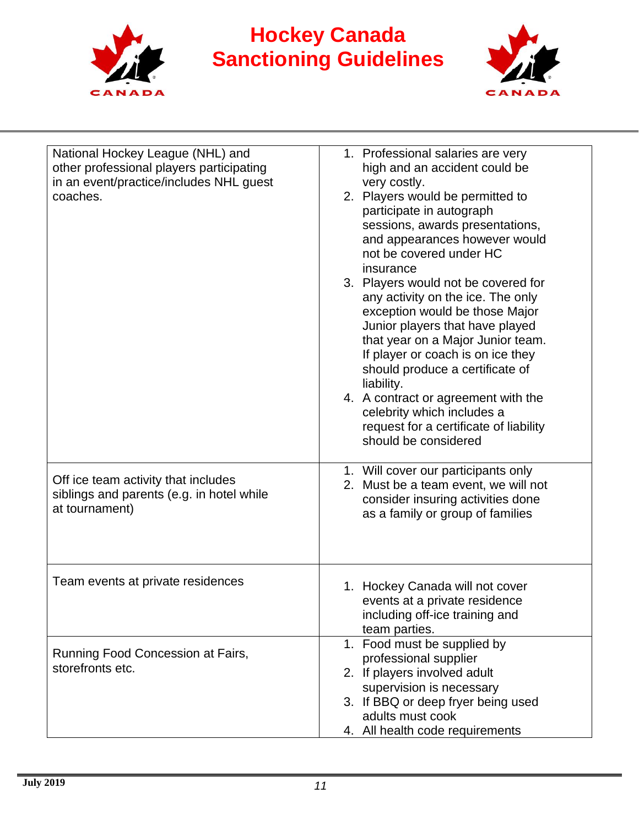



| National Hockey League (NHL) and<br>other professional players participating | 1. Professional salaries are very<br>high and an accident could be |
|------------------------------------------------------------------------------|--------------------------------------------------------------------|
| in an event/practice/includes NHL guest                                      | very costly.                                                       |
| coaches.                                                                     | 2. Players would be permitted to                                   |
|                                                                              | participate in autograph                                           |
|                                                                              | sessions, awards presentations,                                    |
|                                                                              | and appearances however would                                      |
|                                                                              | not be covered under HC                                            |
|                                                                              | insurance                                                          |
|                                                                              | 3. Players would not be covered for                                |
|                                                                              | any activity on the ice. The only                                  |
|                                                                              | exception would be those Major                                     |
|                                                                              | Junior players that have played                                    |
|                                                                              | that year on a Major Junior team.                                  |
|                                                                              | If player or coach is on ice they                                  |
|                                                                              | should produce a certificate of                                    |
|                                                                              | liability.                                                         |
|                                                                              | 4. A contract or agreement with the                                |
|                                                                              | celebrity which includes a                                         |
|                                                                              | request for a certificate of liability                             |
|                                                                              | should be considered                                               |
|                                                                              |                                                                    |
|                                                                              | 1. Will cover our participants only                                |
| Off ice team activity that includes                                          | 2. Must be a team event, we will not                               |
| siblings and parents (e.g. in hotel while                                    | consider insuring activities done                                  |
| at tournament)                                                               | as a family or group of families                                   |
|                                                                              |                                                                    |
|                                                                              |                                                                    |
|                                                                              |                                                                    |
| Team events at private residences                                            | 1. Hockey Canada will not cover                                    |
|                                                                              | events at a private residence                                      |
|                                                                              | including off-ice training and                                     |
|                                                                              | team parties.                                                      |
|                                                                              | 1. Food must be supplied by                                        |
| Running Food Concession at Fairs,                                            | professional supplier                                              |
| storefronts etc.                                                             | 2. If players involved adult                                       |
|                                                                              | supervision is necessary                                           |
|                                                                              | 3. If BBQ or deep fryer being used                                 |
|                                                                              | adults must cook                                                   |
|                                                                              | 4. All health code requirements                                    |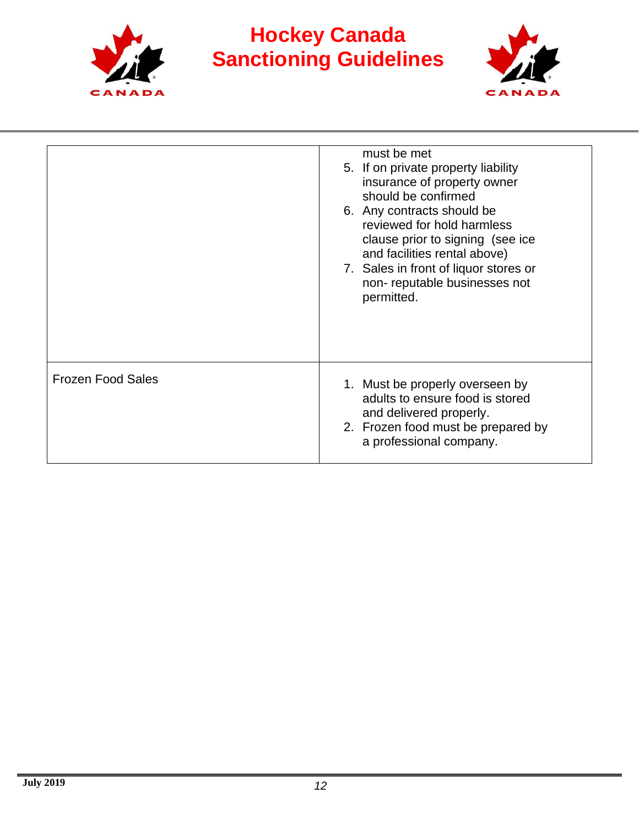



|                          | must be met<br>5. If on private property liability<br>insurance of property owner<br>should be confirmed<br>6. Any contracts should be<br>reviewed for hold harmless<br>clause prior to signing (see ice<br>and facilities rental above)<br>7. Sales in front of liquor stores or<br>non-reputable businesses not<br>permitted. |
|--------------------------|---------------------------------------------------------------------------------------------------------------------------------------------------------------------------------------------------------------------------------------------------------------------------------------------------------------------------------|
| <b>Frozen Food Sales</b> | 1. Must be properly overseen by<br>adults to ensure food is stored<br>and delivered properly.<br>2. Frozen food must be prepared by<br>a professional company.                                                                                                                                                                  |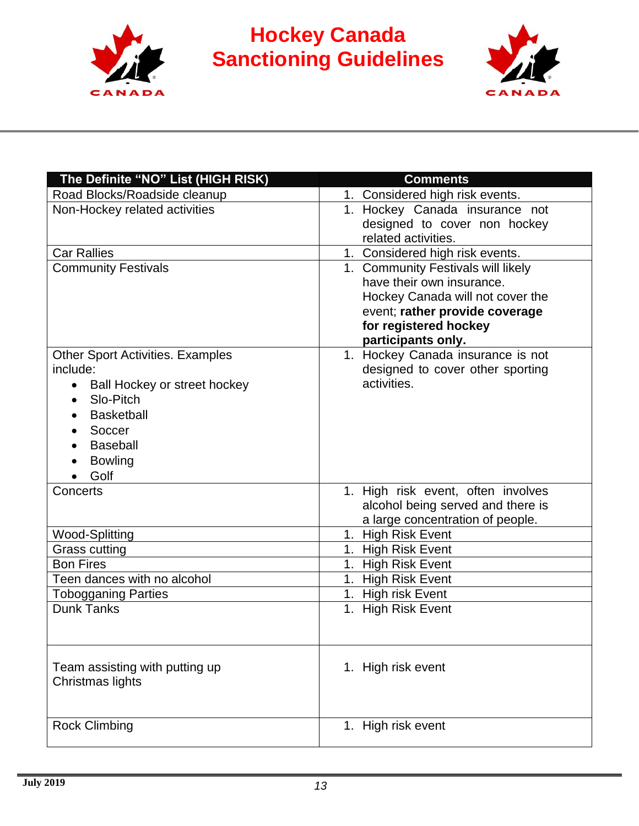



| The Definite "NO" List (HIGH RISK)                                                                                                                                                                     | <b>Comments</b>                                                                                                                                                                      |
|--------------------------------------------------------------------------------------------------------------------------------------------------------------------------------------------------------|--------------------------------------------------------------------------------------------------------------------------------------------------------------------------------------|
| Road Blocks/Roadside cleanup                                                                                                                                                                           | 1. Considered high risk events.                                                                                                                                                      |
| Non-Hockey related activities                                                                                                                                                                          | 1. Hockey Canada insurance not<br>designed to cover non hockey<br>related activities.                                                                                                |
| <b>Car Rallies</b>                                                                                                                                                                                     | 1. Considered high risk events.                                                                                                                                                      |
| <b>Community Festivals</b>                                                                                                                                                                             | 1. Community Festivals will likely<br>have their own insurance.<br>Hockey Canada will not cover the<br>event; rather provide coverage<br>for registered hockey<br>participants only. |
| <b>Other Sport Activities. Examples</b><br>include:<br>Ball Hockey or street hockey<br>$\bullet$<br>Slo-Pitch<br>$\bullet$<br><b>Basketball</b><br>Soccer<br><b>Baseball</b><br><b>Bowling</b><br>Golf | 1. Hockey Canada insurance is not<br>designed to cover other sporting<br>activities.                                                                                                 |
| Concerts                                                                                                                                                                                               | 1. High risk event, often involves<br>alcohol being served and there is<br>a large concentration of people.                                                                          |
| Wood-Splitting                                                                                                                                                                                         | 1. High Risk Event                                                                                                                                                                   |
| Grass cutting                                                                                                                                                                                          | 1. High Risk Event                                                                                                                                                                   |
| <b>Bon Fires</b>                                                                                                                                                                                       | 1. High Risk Event                                                                                                                                                                   |
| Teen dances with no alcohol                                                                                                                                                                            | 1. High Risk Event                                                                                                                                                                   |
| <b>Tobogganing Parties</b>                                                                                                                                                                             | 1. High risk Event                                                                                                                                                                   |
| <b>Dunk Tanks</b>                                                                                                                                                                                      | 1. High Risk Event                                                                                                                                                                   |
| Team assisting with putting up<br>Christmas lights                                                                                                                                                     | 1. High risk event                                                                                                                                                                   |
| <b>Rock Climbing</b>                                                                                                                                                                                   | 1. High risk event                                                                                                                                                                   |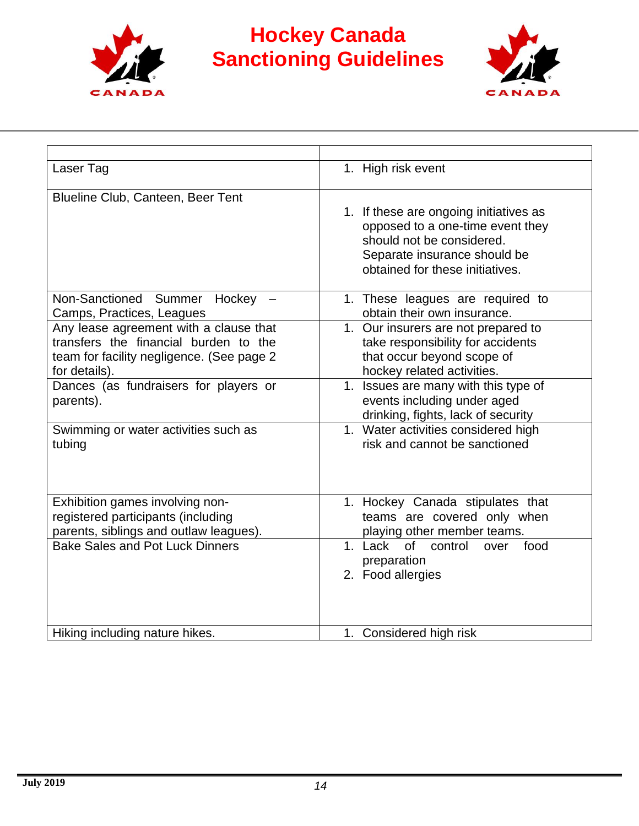



| Laser Tag                                                                                                                                     | 1. High risk event                                                                                                                                                         |
|-----------------------------------------------------------------------------------------------------------------------------------------------|----------------------------------------------------------------------------------------------------------------------------------------------------------------------------|
| Blueline Club, Canteen, Beer Tent                                                                                                             | 1. If these are ongoing initiatives as<br>opposed to a one-time event they<br>should not be considered.<br>Separate insurance should be<br>obtained for these initiatives. |
| Non-Sanctioned Summer<br>Hockey $-$<br>Camps, Practices, Leagues                                                                              | 1. These leagues are required to<br>obtain their own insurance.                                                                                                            |
| Any lease agreement with a clause that<br>transfers the financial burden to the<br>team for facility negligence. (See page 2<br>for details). | 1. Our insurers are not prepared to<br>take responsibility for accidents<br>that occur beyond scope of<br>hockey related activities.                                       |
| Dances (as fundraisers for players or<br>parents).                                                                                            | 1. Issues are many with this type of<br>events including under aged<br>drinking, fights, lack of security                                                                  |
| Swimming or water activities such as<br>tubing                                                                                                | 1. Water activities considered high<br>risk and cannot be sanctioned                                                                                                       |
| Exhibition games involving non-<br>registered participants (including<br>parents, siblings and outlaw leagues).                               | 1. Hockey Canada stipulates that<br>teams are covered only when<br>playing other member teams.                                                                             |
| <b>Bake Sales and Pot Luck Dinners</b>                                                                                                        | 1. Lack<br><b>of</b><br>control<br>food<br>over<br>preparation<br>2. Food allergies                                                                                        |
| Hiking including nature hikes.                                                                                                                | 1. Considered high risk                                                                                                                                                    |